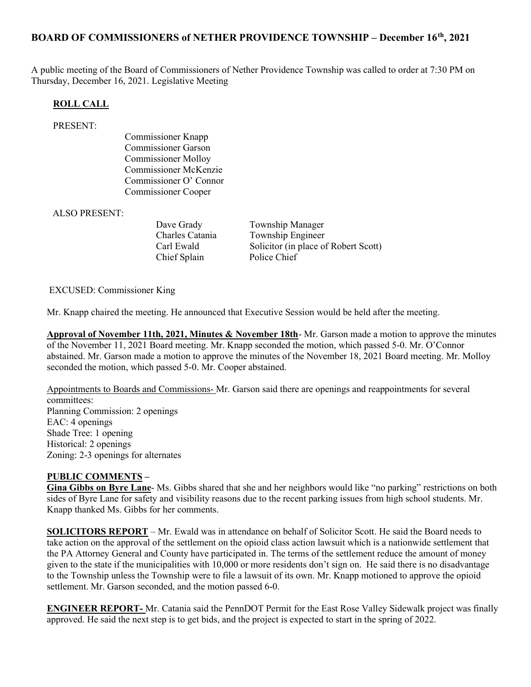## BOARD OF COMMISSIONERS of NETHER PROVIDENCE TOWNSHIP – December 16th, 2021

A public meeting of the Board of Commissioners of Nether Providence Township was called to order at 7:30 PM on Thursday, December 16, 2021. Legislative Meeting

#### ROLL CALL

#### PRESENT:

Commissioner Knapp Commissioner Garson Commissioner Molloy Commissioner McKenzie Commissioner O' Connor Commissioner Cooper

#### ALSO PRESENT:

Chief Splain Police Chief

Dave Grady **Township Manager** Charles Catania Township Engineer Carl Ewald Solicitor (in place of Robert Scott)

#### EXCUSED: Commissioner King

Mr. Knapp chaired the meeting. He announced that Executive Session would be held after the meeting.

Approval of November 11th, 2021, Minutes & November 18th- Mr. Garson made a motion to approve the minutes of the November 11, 2021 Board meeting. Mr. Knapp seconded the motion, which passed 5-0. Mr. O'Connor abstained. Mr. Garson made a motion to approve the minutes of the November 18, 2021 Board meeting. Mr. Molloy seconded the motion, which passed 5-0. Mr. Cooper abstained.

Appointments to Boards and Commissions- Mr. Garson said there are openings and reappointments for several committees: Planning Commission: 2 openings EAC: 4 openings Shade Tree: 1 opening Historical: 2 openings Zoning: 2-3 openings for alternates

#### PUBLIC COMMENTS –

Gina Gibbs on Byre Lane- Ms. Gibbs shared that she and her neighbors would like "no parking" restrictions on both sides of Byre Lane for safety and visibility reasons due to the recent parking issues from high school students. Mr. Knapp thanked Ms. Gibbs for her comments.

SOLICITORS REPORT – Mr. Ewald was in attendance on behalf of Solicitor Scott. He said the Board needs to take action on the approval of the settlement on the opioid class action lawsuit which is a nationwide settlement that the PA Attorney General and County have participated in. The terms of the settlement reduce the amount of money given to the state if the municipalities with 10,000 or more residents don't sign on. He said there is no disadvantage to the Township unless the Township were to file a lawsuit of its own. Mr. Knapp motioned to approve the opioid settlement. Mr. Garson seconded, and the motion passed 6-0.

ENGINEER REPORT- Mr. Catania said the PennDOT Permit for the East Rose Valley Sidewalk project was finally approved. He said the next step is to get bids, and the project is expected to start in the spring of 2022.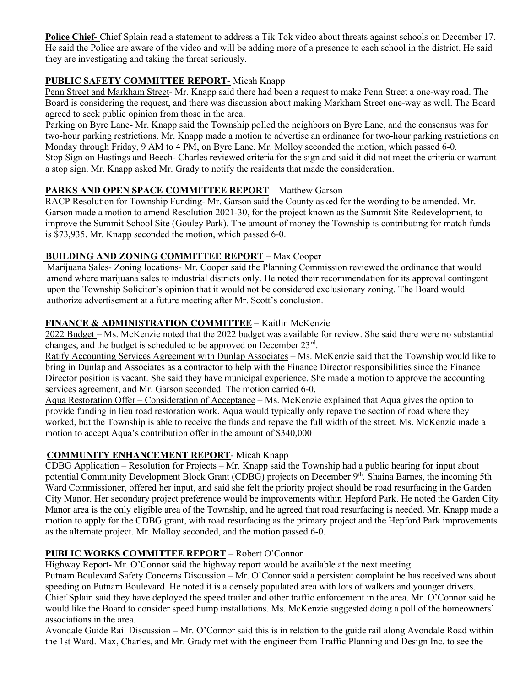Police Chief- Chief Splain read a statement to address a Tik Tok video about threats against schools on December 17. He said the Police are aware of the video and will be adding more of a presence to each school in the district. He said they are investigating and taking the threat seriously.

# PUBLIC SAFETY COMMITTEE REPORT- Micah Knapp

Penn Street and Markham Street- Mr. Knapp said there had been a request to make Penn Street a one-way road. The Board is considering the request, and there was discussion about making Markham Street one-way as well. The Board agreed to seek public opinion from those in the area.

Parking on Byre Lane- Mr. Knapp said the Township polled the neighbors on Byre Lane, and the consensus was for two-hour parking restrictions. Mr. Knapp made a motion to advertise an ordinance for two-hour parking restrictions on Monday through Friday, 9 AM to 4 PM, on Byre Lane. Mr. Molloy seconded the motion, which passed 6-0. Stop Sign on Hastings and Beech- Charles reviewed criteria for the sign and said it did not meet the criteria or warrant a stop sign. Mr. Knapp asked Mr. Grady to notify the residents that made the consideration.

# PARKS AND OPEN SPACE COMMITTEE REPORT – Matthew Garson

RACP Resolution for Township Funding- Mr. Garson said the County asked for the wording to be amended. Mr. Garson made a motion to amend Resolution 2021-30, for the project known as the Summit Site Redevelopment, to improve the Summit School Site (Gouley Park). The amount of money the Township is contributing for match funds is \$73,935. Mr. Knapp seconded the motion, which passed 6-0.

### BUILDING AND ZONING COMMITTEE REPORT – Max Cooper

Marijuana Sales- Zoning locations- Mr. Cooper said the Planning Commission reviewed the ordinance that would amend where marijuana sales to industrial districts only. He noted their recommendation for its approval contingent upon the Township Solicitor's opinion that it would not be considered exclusionary zoning. The Board would authorize advertisement at a future meeting after Mr. Scott's conclusion.

### FINANCE & ADMINISTRATION COMMITTEE - Kaitlin McKenzie

2022 Budget – Ms. McKenzie noted that the 2022 budget was available for review. She said there were no substantial changes, and the budget is scheduled to be approved on December 23<sup>rd</sup>.

Ratify Accounting Services Agreement with Dunlap Associates – Ms. McKenzie said that the Township would like to bring in Dunlap and Associates as a contractor to help with the Finance Director responsibilities since the Finance Director position is vacant. She said they have municipal experience. She made a motion to approve the accounting services agreement, and Mr. Garson seconded. The motion carried 6-0.

Aqua Restoration Offer – Consideration of Acceptance – Ms. McKenzie explained that Aqua gives the option to provide funding in lieu road restoration work. Aqua would typically only repave the section of road where they worked, but the Township is able to receive the funds and repave the full width of the street. Ms. McKenzie made a motion to accept Aqua's contribution offer in the amount of \$340,000

# COMMUNITY ENHANCEMENT REPORT- Micah Knapp

CDBG Application – Resolution for Projects – Mr. Knapp said the Township had a public hearing for input about potential Community Development Block Grant (CDBG) projects on December 9<sup>th</sup>. Shaina Barnes, the incoming 5th Ward Commissioner, offered her input, and said she felt the priority project should be road resurfacing in the Garden City Manor. Her secondary project preference would be improvements within Hepford Park. He noted the Garden City Manor area is the only eligible area of the Township, and he agreed that road resurfacing is needed. Mr. Knapp made a motion to apply for the CDBG grant, with road resurfacing as the primary project and the Hepford Park improvements as the alternate project. Mr. Molloy seconded, and the motion passed 6-0.

# PUBLIC WORKS COMMITTEE REPORT – Robert O'Connor

Highway Report- Mr. O'Connor said the highway report would be available at the next meeting.

Putnam Boulevard Safety Concerns Discussion – Mr. O'Connor said a persistent complaint he has received was about speeding on Putnam Boulevard. He noted it is a densely populated area with lots of walkers and younger drivers.

Chief Splain said they have deployed the speed trailer and other traffic enforcement in the area. Mr. O'Connor said he would like the Board to consider speed hump installations. Ms. McKenzie suggested doing a poll of the homeowners' associations in the area.

Avondale Guide Rail Discussion – Mr. O'Connor said this is in relation to the guide rail along Avondale Road within the 1st Ward. Max, Charles, and Mr. Grady met with the engineer from Traffic Planning and Design Inc. to see the